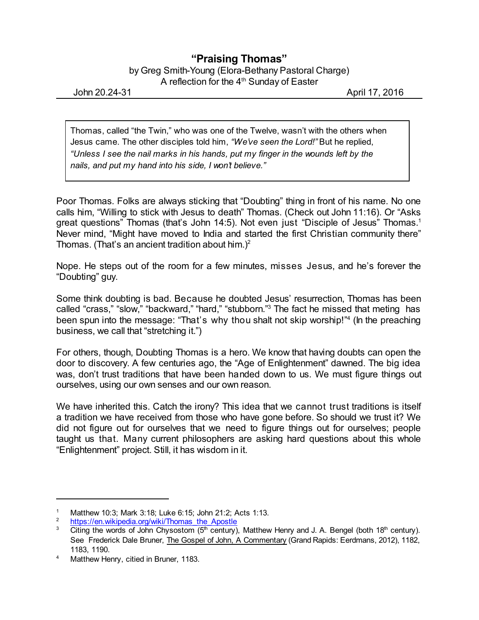## **"Praising Thomas"**

by Greg Smith-Young (Elora-Bethany Pastoral Charge) A reflection for the 4<sup>th</sup> Sunday of Easter

John 20.24-31 April 17, 2016

Thomas, called "the Twin," who was one of the Twelve, wasn't with the others when Jesus came. The other disciples told him, *"We've seen the Lord!"* But he replied, *"Unless I see the nail marks in his hands, put my finger in the wounds left by the nails, and put my hand into his side, I won't believe."*

Poor Thomas. Folks are always sticking that "Doubting" thing in front of his name. No one calls him, "Willing to stick with Jesus to death" Thomas. (Check out John 11:16). Or "Asks great questions" Thomas (that's John 14:5). Not even just "Disciple of Jesus" Thomas.<sup>1</sup> Never mind, "Might have moved to India and started the first Christian community there" Thomas. (That's an ancient tradition about him.)<sup>2</sup>

Nope. He steps out of the room for a few minutes, misses Jesus, and he's forever the "Doubting" guy.

Some think doubting is bad. Because he doubted Jesus' resurrection, Thomas has been called "crass," "slow," "backward," "hard," "stubborn."<sup>3</sup> The fact he missed that meting has been spun into the message: "That's why thou shalt not skip worship!"<sup>4</sup> (ln the preaching business, we call that "stretching it.")

For others, though, Doubting Thomas is a hero. We know that having doubts can open the door to discovery. A few centuries ago, the "Age of Enlightenment" dawned. The big idea was, don't trust traditions that have been handed down to us. We must figure things out ourselves, using our own senses and our own reason.

We have inherited this. Catch the irony? This idea that we cannot trust traditions is itself a tradition we have received from those who have gone before. So should we trust it? We did not figure out for ourselves that we need to figure things out for ourselves; people taught us that. Many current philosophers are asking hard questions about this whole "Enlightenment" project. Still, it has wisdom in it.

<sup>&</sup>lt;sup>1</sup> Matthew 10:3; Mark 3:18; Luke 6:15; John 21:2; Acts 1:13.<br><sup>2</sup> https://en.ujkinodia.org/ujki/Thomas, the Apostle

[https://en.wikipedia.org/wiki/Thomas\\_the\\_Apostle](https://en.wikipedia.org/wiki/Thomas_the_Apostle)

<sup>&</sup>lt;sup>3</sup> Citing the words of John Chysostom (5<sup>th</sup> century), Matthew Henry and J. A. Bengel (both 18<sup>th</sup> century). See Frederick Dale Bruner, The Gospel of John, A Commentary (Grand Rapids: Eerdmans, 2012), 1182, 1183, 1190.

<sup>4</sup> Matthew Henry, citied in Bruner, 1183.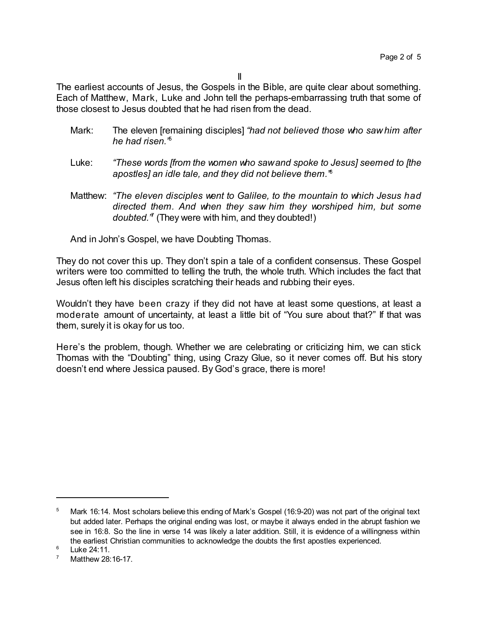The earliest accounts of Jesus, the Gospels in the Bible, are quite clear about something. Each of Matthew, Mark, Luke and John tell the perhaps-embarrassing truth that some of those closest to Jesus doubted that he had risen from the dead.

- Mark: The eleven [remaining disciples] *"had not believed those who saw him after he had risen."* 5
- Luke: *"These words [from the women who sawand spoke to Jesus] seemed to [the apostles] an idle tale, and they did not believe them."* 6
- Matthew: *"The eleven disciples went to Galilee, to the mountain to which Jesus had directed them. And when they saw him they worshiped him, but some doubted."* 7 (They were with him, and they doubted!)

And in John's Gospel, we have Doubting Thomas.

They do not cover this up. They don't spin a tale of a confident consensus. These Gospel writers were too committed to telling the truth, the whole truth. Which includes the fact that Jesus often left his disciples scratching their heads and rubbing their eyes.

Wouldn't they have been crazy if they did not have at least some questions, at least a moderate amount of uncertainty, at least a little bit of "You sure about that?" If that was them, surely it is okay for us too.

Here's the problem, though. Whether we are celebrating or criticizing him, we can stick Thomas with the "Doubting" thing, using Crazy Glue, so it never comes off. But his story doesn't end where Jessica paused. By God's grace, there is more!

<sup>&</sup>lt;sup>5</sup> Mark 16:14. Most scholars believe this ending of Mark's Gospel (16:9-20) was not part of the original text but added later. Perhaps the original ending was lost, or maybe it always ended in the abrupt fashion we see in 16:8. So the line in verse 14 was likely a later addition. Still, it is evidence of a willingness within the earliest Christian communities to acknowledge the doubts the first apostles experienced.

<sup>6</sup> Luke 24:11.

<sup>7</sup> Matthew 28:16-17.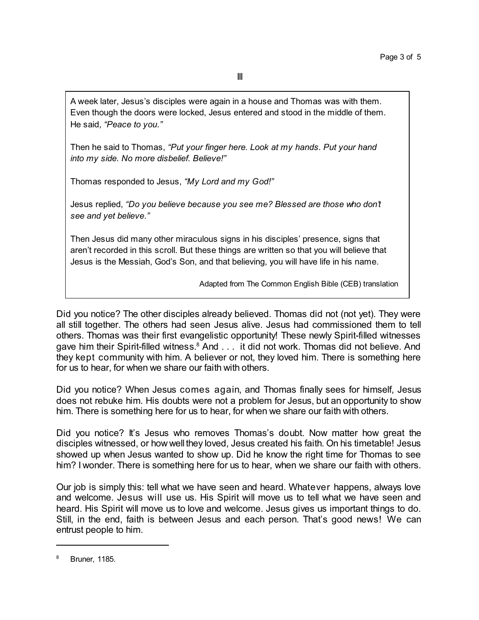A week later, Jesus's disciples were again in a house and Thomas was with them. Even though the doors were locked, Jesus entered and stood in the middle of them. He said, *"Peace to you."*

Then he said to Thomas, *"Put your finger here. Look at my hands. Put your hand into my side. No more disbelief. Believe!"*

Thomas responded to Jesus, *"My Lord and my God!"*

Jesus replied, *"Do you believe because you see me? Blessed are those who don't see and yet believe."*

Then Jesus did many other miraculous signs in his disciples' presence, signs that aren't recorded in this scroll. But these things are written so that you will believe that Jesus is the Messiah, God's Son, and that believing, you will have life in his name.

Adapted from The Common English Bible (CEB) translation

Did you notice? The other disciples already believed. Thomas did not (not yet). They were all still together. The others had seen Jesus alive. Jesus had commissioned them to tell others. Thomas was their first evangelistic opportunity! These newly Spirit-filled witnesses gave him their Spirit-filled witness.<sup>8</sup> And . . . it did not work. Thomas did not believe. And they kept community with him. A believer or not, they loved him. There is something here for us to hear, for when we share our faith with others.

Did you notice? When Jesus comes again, and Thomas finally sees for himself, Jesus does not rebuke him. His doubts were not a problem for Jesus, but an opportunity to show him. There is something here for us to hear, for when we share our faith with others.

Did you notice? It's Jesus who removes Thomas's doubt. Now matter how great the disciples witnessed, or how well they loved, Jesus created his faith. On his timetable! Jesus showed up when Jesus wanted to show up. Did he know the right time for Thomas to see him? I wonder. There is something here for us to hear, when we share our faith with others.

Our job is simply this: tell what we have seen and heard. Whatever happens, always love and welcome. Jesus will use us. His Spirit will move us to tell what we have seen and heard. His Spirit will move us to love and welcome. Jesus gives us important things to do. Still, in the end, faith is between Jesus and each person. That's good news! We can entrust people to him.

<sup>8</sup> Bruner, 1185.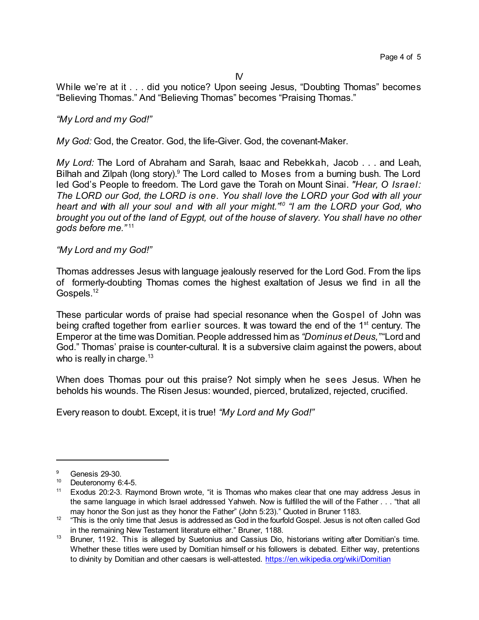While we're at it . . . did you notice? Upon seeing Jesus, "Doubting Thomas" becomes "Believing Thomas." And "Believing Thomas" becomes "Praising Thomas."

## *"My Lord and my God!"*

*My God:* God, the Creator. God, the life-Giver. God, the covenant-Maker.

*My Lord:* The Lord of Abraham and Sarah, Isaac and Rebekkah, Jacob . . . and Leah, Bilhah and Zilpah (long story).<sup>9</sup> The Lord called to Moses from a burning bush. The Lord led God's People to freedom. The Lord gave the Torah on Mount Sinai. *"Hear, O Israel: The LORD our God, the LORD is one. You shall love the LORD your God with all your heart and with all your soul and with all your might." 10 "I am the LORD your God, who brought you out of the land of Egypt, out of the house of slavery. You shall have no other gods before me."* 11

## *"My Lord and my God!"*

Thomas addresses Jesus with language jealously reserved for the Lord God. From the lips of formerly-doubting Thomas comes the highest exaltation of Jesus we find in all the Gospels.<sup>12</sup>

These particular words of praise had special resonance when the Gospel of John was being crafted together from earlier sources. It was toward the end of the 1<sup>st</sup> century. The Emperor at the time was Domitian. People addressed him as *"Dominus et Deus.*" "Lord and God." Thomas' praise is counter-cultural. It is a subversive claim against the powers, about who is really in charge.<sup>13</sup>

When does Thomas pour out this praise? Not simply when he sees Jesus. When he beholds his wounds. The Risen Jesus: wounded, pierced, brutalized, rejected, crucified.

Every reason to doubt. Except, it is true! *"My Lord and My God!"*

 $\frac{9}{10}$  Genesis 29-30.

Deuteronomy 6:4-5.

<sup>&</sup>lt;sup>11</sup> Exodus 20:2-3. Raymond Brown wrote, "it is Thomas who makes clear that one may address Jesus in the same language in which Israel addressed Yahweh. Now is fulfilled the will of the Father . . . "that all may honor the Son just as they honor the Father" (John 5:23)." Quoted in Bruner 1183.

 $12$   $\degree$  "This is the only time that Jesus is addressed as God in the fourfold Gospel. Jesus is not often called God in the remaining New Testament literature either." Bruner, 1188.

<sup>13</sup> Bruner, 1192. This is alleged by Suetonius and Cassius Dio, historians writing after Domitian's time. Whether these titles were used by Domitian himself or his followers is debated. Either way, pretentions to divinity by Domitian and other caesars is well-attested. <https://en.wikipedia.org/wiki/Domitian>